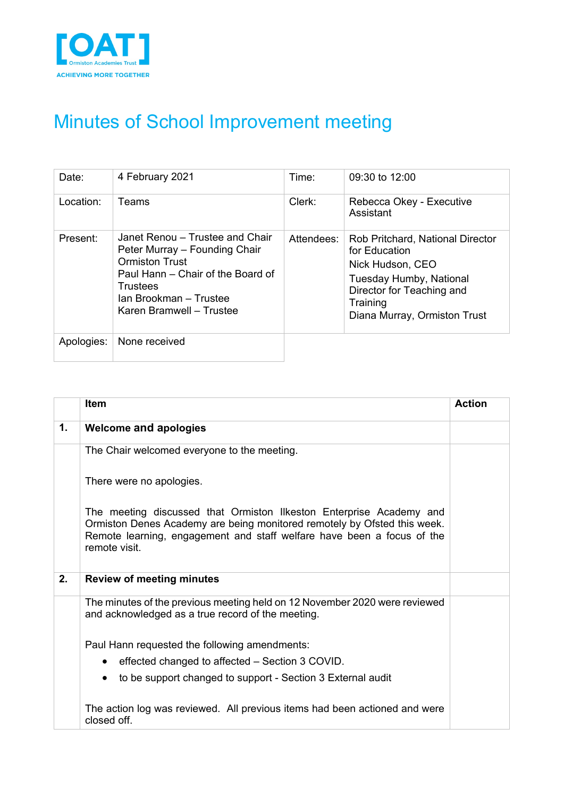

# Minutes of School Improvement meeting

| Date:      | 4 February 2021                                                                                                                                                                                  | Time:      | 09:30 to 12:00                                                                                                                                                            |
|------------|--------------------------------------------------------------------------------------------------------------------------------------------------------------------------------------------------|------------|---------------------------------------------------------------------------------------------------------------------------------------------------------------------------|
| Location:  | Teams                                                                                                                                                                                            | Clerk:     | Rebecca Okey - Executive<br>Assistant                                                                                                                                     |
| Present:   | Janet Renou – Trustee and Chair<br>Peter Murray – Founding Chair<br><b>Ormiston Trust</b><br>Paul Hann – Chair of the Board of<br>Trustees<br>Ian Brookman - Trustee<br>Karen Bramwell - Trustee | Attendees: | Rob Pritchard, National Director<br>for Education<br>Nick Hudson, CEO<br>Tuesday Humby, National<br>Director for Teaching and<br>Training<br>Diana Murray, Ormiston Trust |
| Apologies: | None received                                                                                                                                                                                    |            |                                                                                                                                                                           |

|    | <b>Item</b>                                                                                                                                                                                                                                | <b>Action</b> |
|----|--------------------------------------------------------------------------------------------------------------------------------------------------------------------------------------------------------------------------------------------|---------------|
| 1. | <b>Welcome and apologies</b>                                                                                                                                                                                                               |               |
|    | The Chair welcomed everyone to the meeting.                                                                                                                                                                                                |               |
|    | There were no apologies.                                                                                                                                                                                                                   |               |
|    | The meeting discussed that Ormiston Ilkeston Enterprise Academy and<br>Ormiston Denes Academy are being monitored remotely by Ofsted this week.<br>Remote learning, engagement and staff welfare have been a focus of the<br>remote visit. |               |
| 2. | <b>Review of meeting minutes</b>                                                                                                                                                                                                           |               |
|    | The minutes of the previous meeting held on 12 November 2020 were reviewed<br>and acknowledged as a true record of the meeting.                                                                                                            |               |
|    | Paul Hann requested the following amendments:                                                                                                                                                                                              |               |
|    | effected changed to affected – Section 3 COVID.<br>$\bullet$                                                                                                                                                                               |               |
|    | to be support changed to support - Section 3 External audit<br>$\bullet$                                                                                                                                                                   |               |
|    | The action log was reviewed. All previous items had been actioned and were<br>closed off.                                                                                                                                                  |               |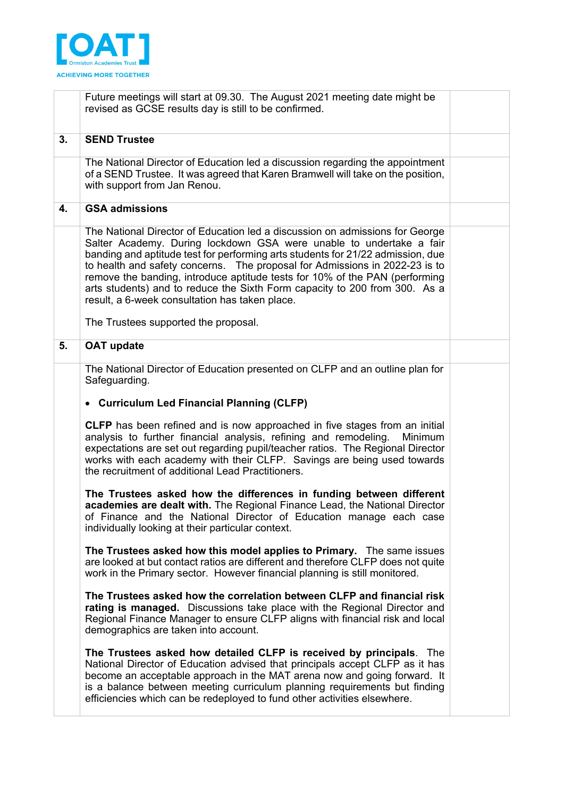

|    | Future meetings will start at 09.30. The August 2021 meeting date might be<br>revised as GCSE results day is still to be confirmed.                                                                                                                                                                                                                                                                                                                                                                                                  |  |
|----|--------------------------------------------------------------------------------------------------------------------------------------------------------------------------------------------------------------------------------------------------------------------------------------------------------------------------------------------------------------------------------------------------------------------------------------------------------------------------------------------------------------------------------------|--|
| 3. | <b>SEND Trustee</b>                                                                                                                                                                                                                                                                                                                                                                                                                                                                                                                  |  |
|    | The National Director of Education led a discussion regarding the appointment<br>of a SEND Trustee. It was agreed that Karen Bramwell will take on the position,<br>with support from Jan Renou.                                                                                                                                                                                                                                                                                                                                     |  |
| 4. | <b>GSA admissions</b>                                                                                                                                                                                                                                                                                                                                                                                                                                                                                                                |  |
|    | The National Director of Education led a discussion on admissions for George<br>Salter Academy. During lockdown GSA were unable to undertake a fair<br>banding and aptitude test for performing arts students for 21/22 admission, due<br>to health and safety concerns. The proposal for Admissions in 2022-23 is to<br>remove the banding, introduce aptitude tests for 10% of the PAN (performing<br>arts students) and to reduce the Sixth Form capacity to 200 from 300. As a<br>result, a 6-week consultation has taken place. |  |
|    | The Trustees supported the proposal.                                                                                                                                                                                                                                                                                                                                                                                                                                                                                                 |  |
| 5. | <b>OAT update</b>                                                                                                                                                                                                                                                                                                                                                                                                                                                                                                                    |  |
|    | The National Director of Education presented on CLFP and an outline plan for<br>Safeguarding.<br>• Curriculum Led Financial Planning (CLFP)                                                                                                                                                                                                                                                                                                                                                                                          |  |
|    | <b>CLFP</b> has been refined and is now approached in five stages from an initial<br>analysis to further financial analysis, refining and remodeling.<br>Minimum<br>expectations are set out regarding pupil/teacher ratios. The Regional Director<br>works with each academy with their CLFP. Savings are being used towards<br>the recruitment of additional Lead Practitioners.                                                                                                                                                   |  |
|    | The Trustees asked how the differences in funding between different<br>academies are dealt with. The Regional Finance Lead, the National Director<br>of Finance and the National Director of Education manage each case<br>individually looking at their particular context.                                                                                                                                                                                                                                                         |  |
|    | The Trustees asked how this model applies to Primary. The same issues<br>are looked at but contact ratios are different and therefore CLFP does not quite<br>work in the Primary sector. However financial planning is still monitored.                                                                                                                                                                                                                                                                                              |  |
|    | The Trustees asked how the correlation between CLFP and financial risk<br>rating is managed. Discussions take place with the Regional Director and<br>Regional Finance Manager to ensure CLFP aligns with financial risk and local<br>demographics are taken into account.                                                                                                                                                                                                                                                           |  |
|    | The Trustees asked how detailed CLFP is received by principals. The<br>National Director of Education advised that principals accept CLFP as it has<br>become an acceptable approach in the MAT arena now and going forward. It<br>is a balance between meeting curriculum planning requirements but finding<br>efficiencies which can be redeployed to fund other activities elsewhere.                                                                                                                                             |  |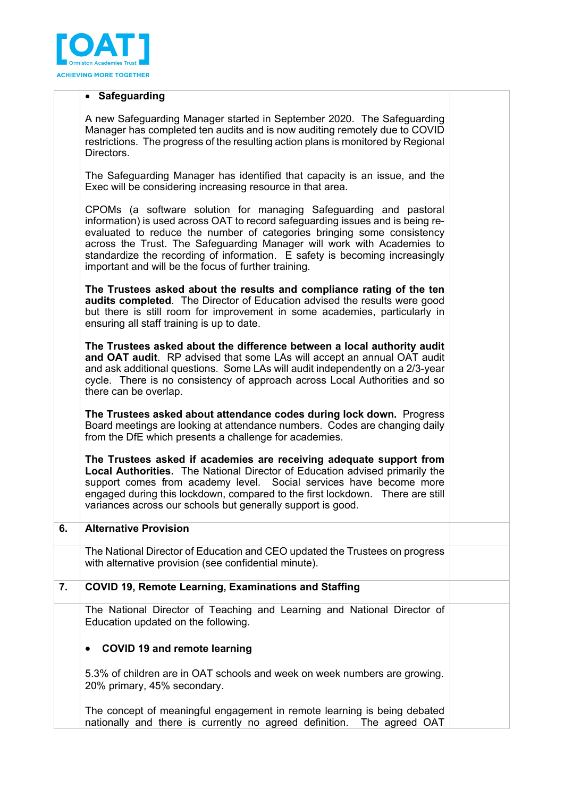

#### • **Safeguarding**

A new Safeguarding Manager started in September 2020. The Safeguarding Manager has completed ten audits and is now auditing remotely due to COVID restrictions. The progress of the resulting action plans is monitored by Regional Directors.

The Safeguarding Manager has identified that capacity is an issue, and the Exec will be considering increasing resource in that area.

CPOMs (a software solution for managing Safeguarding and pastoral information) is used across OAT to record safeguarding issues and is being reevaluated to reduce the number of categories bringing some consistency across the Trust. The Safeguarding Manager will work with Academies to standardize the recording of information. E safety is becoming increasingly important and will be the focus of further training.

**The Trustees asked about the results and compliance rating of the ten audits completed**. The Director of Education advised the results were good but there is still room for improvement in some academies, particularly in ensuring all staff training is up to date.

**The Trustees asked about the difference between a local authority audit and OAT audit**. RP advised that some LAs will accept an annual OAT audit and ask additional questions. Some LAs will audit independently on a 2/3-year cycle. There is no consistency of approach across Local Authorities and so there can be overlap.

**The Trustees asked about attendance codes during lock down.** Progress Board meetings are looking at attendance numbers. Codes are changing daily from the DfE which presents a challenge for academies.

**The Trustees asked if academies are receiving adequate support from Local Authorities.** The National Director of Education advised primarily the support comes from academy level. Social services have become more engaged during this lockdown, compared to the first lockdown. There are still variances across our schools but generally support is good.

#### **6. Alternative Provision**

The National Director of Education and CEO updated the Trustees on progress with alternative provision (see confidential minute).

## **7. COVID 19, Remote Learning, Examinations and Staffing**

The National Director of Teaching and Learning and National Director of Education updated on the following.

#### • **COVID 19 and remote learning**

5.3% of children are in OAT schools and week on week numbers are growing. 20% primary, 45% secondary.

The concept of meaningful engagement in remote learning is being debated nationally and there is currently no agreed definition. The agreed OAT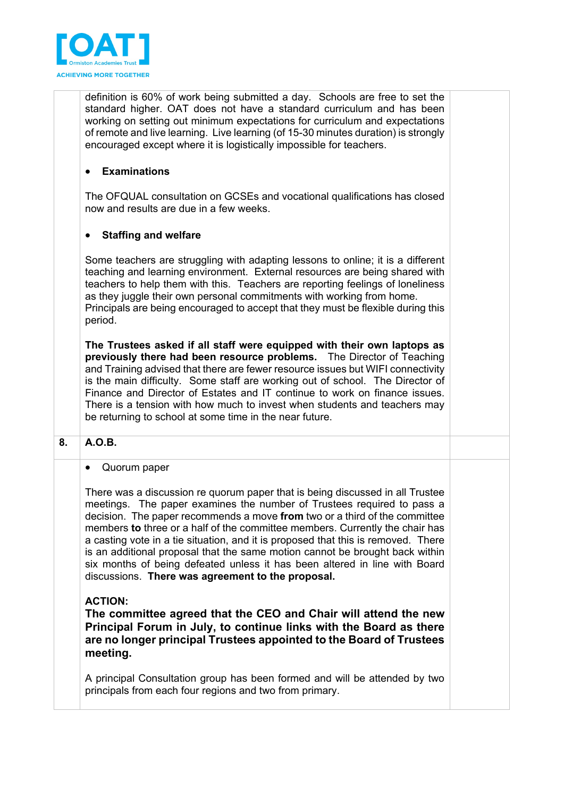

definition is 60% of work being submitted a day. Schools are free to set the standard higher. OAT does not have a standard curriculum and has been working on setting out minimum expectations for curriculum and expectations of remote and live learning. Live learning (of 15-30 minutes duration) is strongly encouraged except where it is logistically impossible for teachers.

## • **Examinations**

The OFQUAL consultation on GCSEs and vocational qualifications has closed now and results are due in a few weeks.

## • **Staffing and welfare**

Some teachers are struggling with adapting lessons to online; it is a different teaching and learning environment. External resources are being shared with teachers to help them with this. Teachers are reporting feelings of loneliness as they juggle their own personal commitments with working from home. Principals are being encouraged to accept that they must be flexible during this period.

**The Trustees asked if all staff were equipped with their own laptops as previously there had been resource problems.** The Director of Teaching and Training advised that there are fewer resource issues but WIFI connectivity is the main difficulty. Some staff are working out of school. The Director of Finance and Director of Estates and IT continue to work on finance issues. There is a tension with how much to invest when students and teachers may be returning to school at some time in the near future.

## **8. A.O.B.**

• Quorum paper

There was a discussion re quorum paper that is being discussed in all Trustee meetings. The paper examines the number of Trustees required to pass a decision. The paper recommends a move **from** two or a third of the committee members **to** three or a half of the committee members. Currently the chair has a casting vote in a tie situation, and it is proposed that this is removed. There is an additional proposal that the same motion cannot be brought back within six months of being defeated unless it has been altered in line with Board discussions. **There was agreement to the proposal.**

## **ACTION:**

**The committee agreed that the CEO and Chair will attend the new Principal Forum in July, to continue links with the Board as there are no longer principal Trustees appointed to the Board of Trustees meeting.**

A principal Consultation group has been formed and will be attended by two principals from each four regions and two from primary.